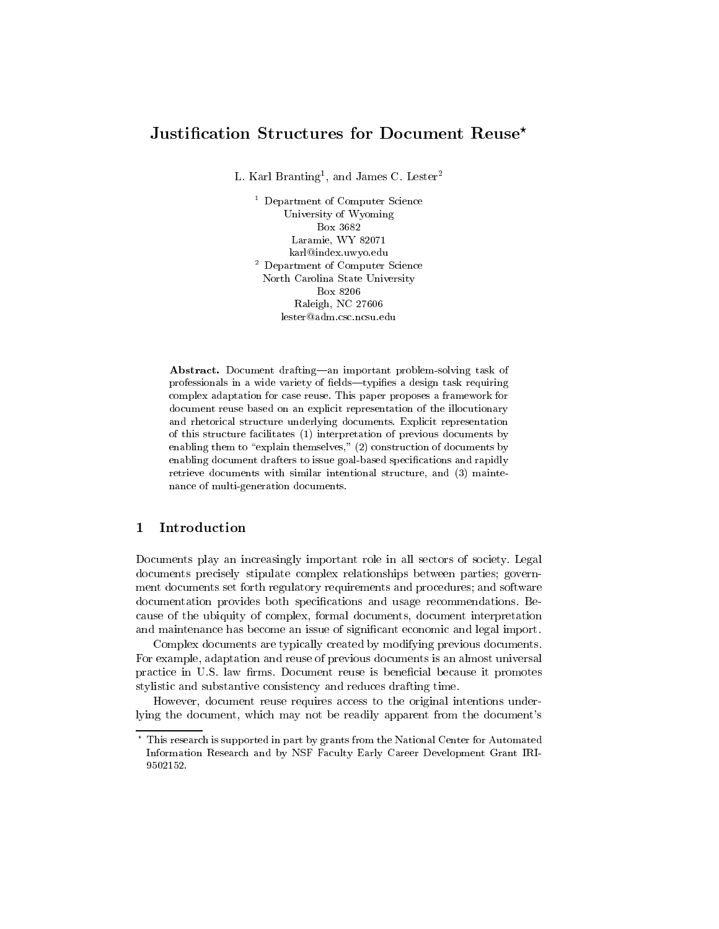# Justification Structures for Document Reuse\*

L. Karl Branting, and James C. Lester

 Department of Computer Science University of Wyoming Box 3682 Laramie WY karl@index.uwyo.edu - Department of Computer Science North Carolina State University Raleigh, NC 27606 lester@adm.csc.ncsu.edu

Abstract. Document drafting—an important problem-solving task of professionals in a wide variety of electric systems in additional complete system and  $\alpha$ complex adaptation for case reuse. This paper proposes a framework for document reuse based on an explicit representation of the illocutionary and rhetorical structure underlying documents. Explicit representation of this structure facilitates (1) interpretation of previous documents by enabling them to "explain themselves,"  $(2)$  construction of documents by enabling document drafters to issue goal-based specifications and rapidly retrieve documents with similar intentional structure, and (3) maintenance of multi-generation documents.

# Introduction

Documents play an increasingly important role in all sectors of society Legal documents precisely stipulate complete relationships between parties-  $\alpha$  ,  $\alpha$ ment documents set forth regulatory requirements and procedures- and software documentation provides both specifications and usage recommendations. Because of the ubiquity of complex formal documents document interpretation and maintenance has become an issue of significant economic and legal import.

Complex documents are typically created by modifying previous documents For example, adaptation and reuse of previous documents is an almost universal practice in U.S. law firms. Document reuse is beneficial because it promotes stylistic and substantive consistency and reduces drafting time

However, document reuse requires access to the original intentions underlying the document, which may not be readily apparent from the document's

 $^{\circ}$  This research is supported in part by grants from the National Center for Automated Information Research and by NSF Faculty Early Career Development Grant IRI 9502152.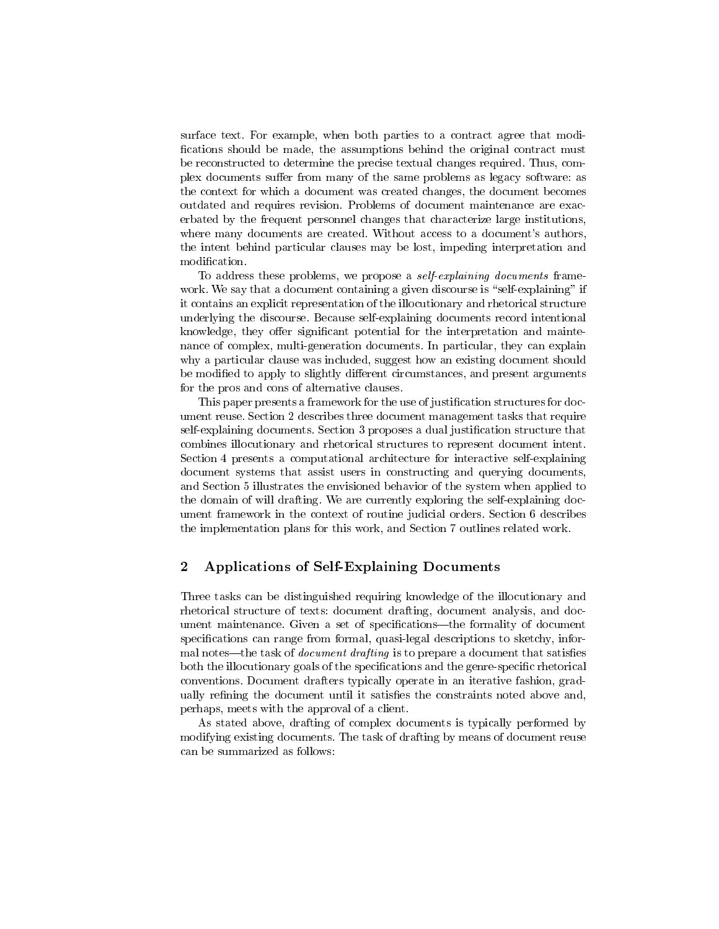surface text. For example, when both parties to a contract agree that modifications should be made, the assumptions behind the original contract must be reconstructed to determine the precise textual changes required. Thus, complex documents suffer from many of the same problems as legacy software: as the context for which a document was created changes the document becomes outdated and requires revision. Problems of document maintenance are exacerbated by the frequent personnel changes that characterize large institutions where many documents are created. Without access to a document's authors, the intent behind particular clauses may be lost impeding interpretation and modification.

To address these problems, we propose a *self-explaining documents* framework. We say that a document containing a given discourse is "self-explaining" if it contains an explicit representation of the illocutionary and rhetorical structure underlying the discourse. Because self-explaining documents record intentional knowledge, they offer significant potential for the interpretation and maintenance of complex, multi-generation documents. In particular, they can explain why a particular clause was included, suggest how an existing document should be modified to apply to slightly different circumstances, and present arguments for the pros and cons of alternative clauses

This paper presents a framework for the use of justification structures for document reuse Section and the section of the section of the complete three document tasks that requires the comp self-explaining documents. Section 3 proposes a dual justification structure that combines illocutionary and rhetorical structures to represent document intent Section 4 presents a computational architecture for interactive self-explaining document systems that assist users in constructing and querying documents and Section 5 illustrates the envisioned behavior of the system when applied to the domain of will drafting. We are currently exploring the self-explaining document framework in the context of routine judicial orders. Section 6 describes the implementation plans for this work, and Section 7 outlines related work.

### $\overline{2}$ Applications of Self-Explaining Documents

Three tasks can be distinguished requiring knowledge of the illocutionary and rhetorical structure of texts: document drafting, document analysis, and document maintenance. Given a set of specifications—the formality of document specifications can range from formal, quasi-legal descriptions to sketchy, informal notes—the task of *document drafting* is to prepare a document that satisfies both the illocutionary goals of the specifications and the genre-specific rhetorical conventions. Document drafters typically operate in an iterative fashion, gradually refining the document until it satisfies the constraints noted above and, perhaps, meets with the approval of a client.

As stated above, drafting of complex documents is typically performed by modifying existing documents The task of drafting by means of document reuse can be summarized as follows: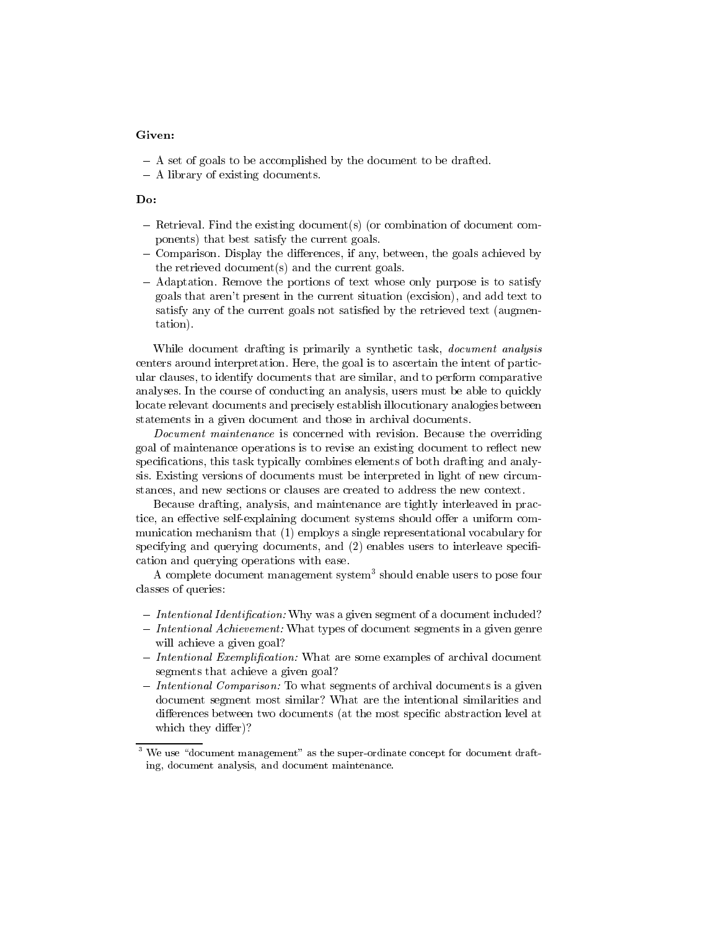# Given

- A set of goals to be accomplished by the document to be drafted
- $\mathbf{A}$  is defined and documents.

# Do

- Retrieval Find the existing documents or combination of document com ponents) that best satisfy the current goals.
- Comparison Display the dierences if any between the goals achieved by the retrieved document(s) and the current goals.
- Adaptation Remove the portions of text whose only purpose is to satisfy goals that aren't present in the current situation (excision), and add text to satisfy any of the current goals not satisfied by the retrieved text (augmentation

While document drafting is primarily a synthetic task, *document analysis* centers around interpretation Here the goal is to ascertain the intent of partic ular clauses to identify documents that are similar and to perform comparative analyses. In the course of conducting an analysis, users must be able to quickly locate relevant documents and precisely establish illocutionary analogies between statements in a given document and those in archival documents

Document maintenance is concerned with revision. Because the overriding goal of maintenance operations is to revise an existing document to reflect new specifications, this task typically combines elements of both drafting and analysis Existing versions of documents must be interpreted in light of new circum stances, and new sections or clauses are created to address the new context.

Because drafting, analysis, and maintenance are tightly interleaved in practice, an effective self-explaining document systems should offer a uniform communication mechanism that  $(1)$  employs a single representational vocabulary for specifying and querying documents and enables users to interleave speci cation and querying operations with ease

A complete document management system- should enable users to pose four classes of queries

- Intertional Intertion-Intertional Interpretation-completed included in the segment of a document included included
- Intentional Achievements in how of play of documents segments in a given genre will achieve a given goal?
- Intentional Exemplication- What are some examples of archival document segments that achieve a given goal?
- Intentional Comparison- To what segments of archival documents is a given document segment most similar? What are the intentional similarities and differences between two documents (at the most specific abstraction level at which they differ)?

We use "document management" as the super-ordinate concept for document drafting, document analysis, and document maintenance.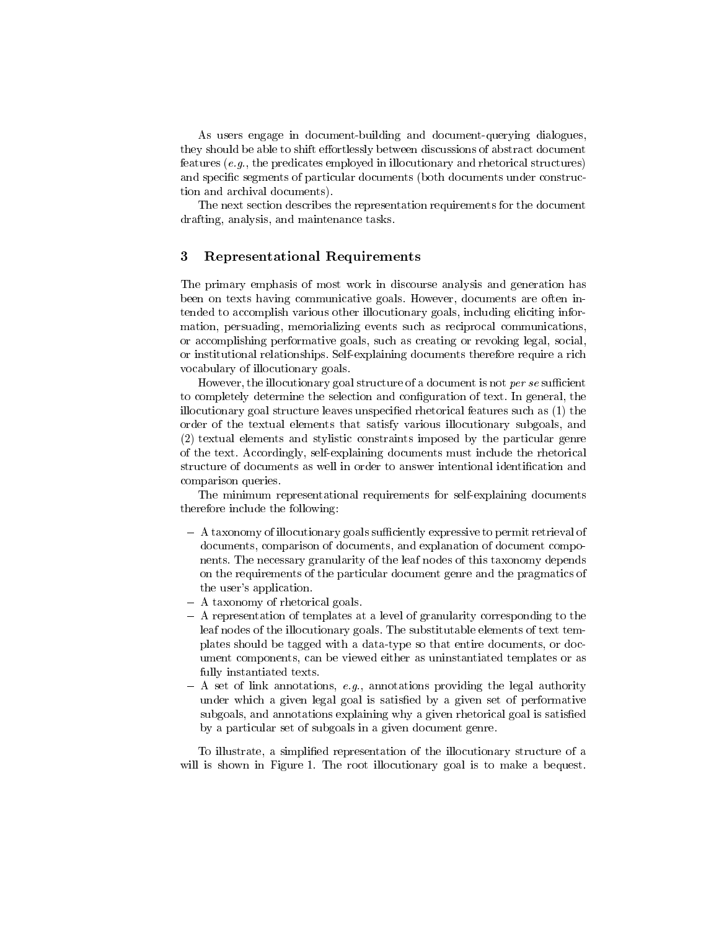As users engage in document-building and document-querying dialogues, they should be able to shift effortlessly between discussions of abstract document features (e.g., the predicates employed in illocutionary and rhetorical structures) and specific segments of particular documents (both documents under construction and archival documents

The next section describes the representation requirements for the document drafting, analysis, and maintenance tasks.

## 3 Representational Requirements

The primary emphasis of most work in discourse analysis and generation has been on texts having communicative goals. However, documents are often intended to accomplish various other illocutionary goals including eliciting infor mation, persuading, memorializing events such as reciprocal communications, or accomplishing performative goals, such as creating or revoking legal, social, or institutional relationships Selfexplaining documents therefore require a rich vocabulary of illocutionary goals

However, the illocutionary goal structure of a document is not  $per$  se sufficient to completely determine the selection and configuration of text. In general, the illocutionary goal structure leaves unspecified rhetorical features such as  $(1)$  the order of the textual elements that satisfy various illocutionary subgoals and textual elements and stylistic constraints in particular generation in particular generation  $\mathbf{r}_1$ of the text. Accordingly, self-explaining documents must include the rhetorical structure of documents as well in order to answer intentional identification and comparison queries

The minimum representational requirements for self-explaining documents therefore include the following

- A taxonomy of illocutionary goals suciently expressive to permit retrieval of documents, comparison of documents, and explanation of document components The necessary granularity of the leaf nodes of this taxonomy depends on the requirements of the particular document genre and the pragmatics of the user's application.
- a taxonomy of rhetorical goals.
- A representation of templates at a level of granularity corresponding to the leaf nodes of the illocutionary goals The substitutable elements of text tem plates should be tagged with a data-type so that entire documents, or document components, can be viewed either as uninstantiated templates or as fully instantiated texts
- A set of link annotations eg annotations providing the legal authority under which a given legal goal is satisfied by a given set of performative subgoals, and annotations explaining why a given rhetorical goal is satisfied by a particular set of subgoals in a given document genre

To illustrate a simplied representation of the illocutionary structure of a will is shown in Figure 1. The root illocutionary goal is to make a bequest.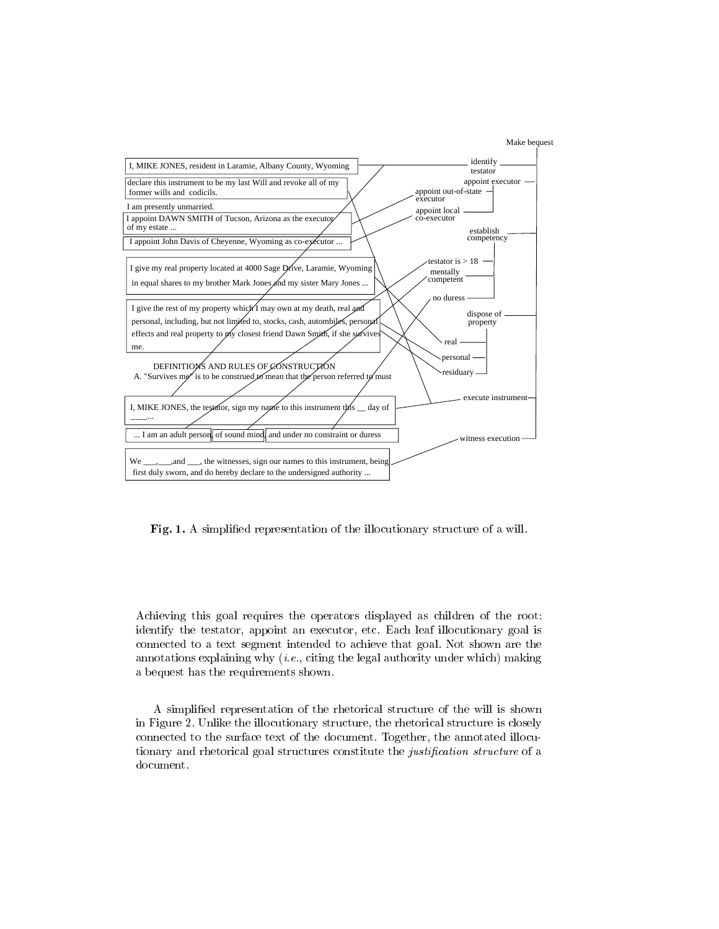

**Fig. 1.** A simplified representation of the inocutionary structure of a will.

Achieving this goal requires the operators displayed as children of the root identify the testator, appoint an executor, etc. Each leaf illocutionary goal is connected to a text segment intended to achieve that goal Not shown are the annotations explaining why  $(i.e.,$  citing the legal authority under which) making a bequest has the requirements shown

A simplied representation of the rhetorical structure of the will is shown in Figure – Indianary structure the indianal structure is closed the rhetorical structure is closely to the rh connected to the surface text of the document. Together, the annotated illocutionary and rhetorical goal structures constitute the *justification structure* of a document.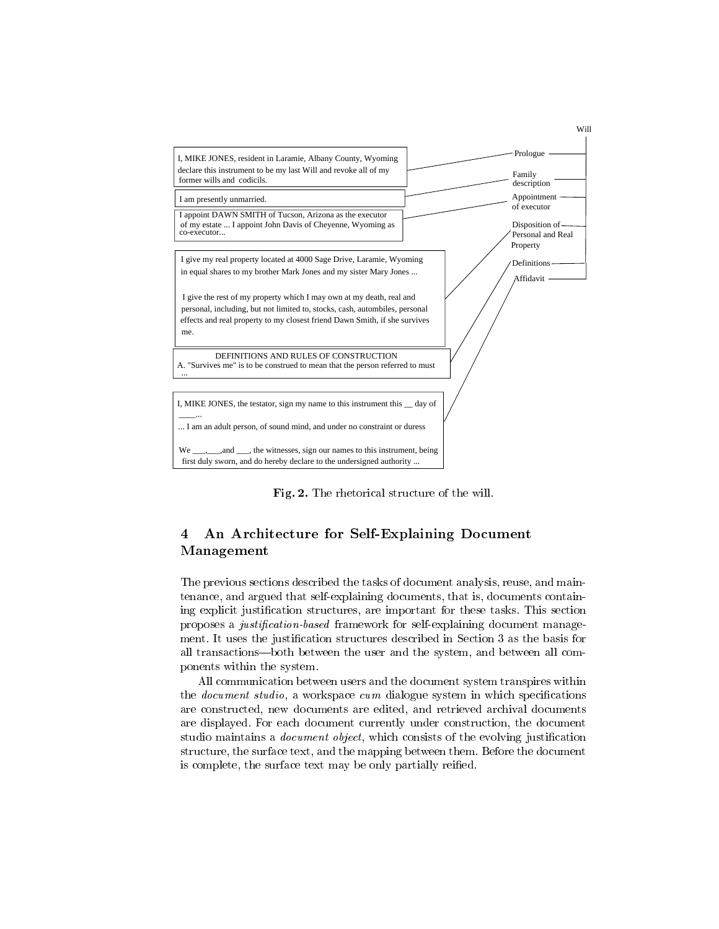

**Fig. 4.** The rhetorical structure of the will.

## $\overline{4}$  An Architecture for Self-Explaining Document Management

The previous sections described the tasks of document analysis, reuse, and maintenance, and argued that self-explaining documents, that is, documents containing explicit justification structures, are important for these tasks. This section proposes a *justification-based* framework for self-explaining document management. It uses the justification structures described in Section 3 as the basis for all transactions—both between the user and the system, and between all components within the system

All communication between users and the document system transpires within the *document studio*, a workspace cum dialogue system in which specifications are constructed, new documents are edited, and retrieved archival documents are displayed. For each document currently under construction, the document studio maintains a *document object*, which consists of the evolving justification structure, the surface text, and the mapping between them. Before the document is complete, the surface text may be only partially reified.

Will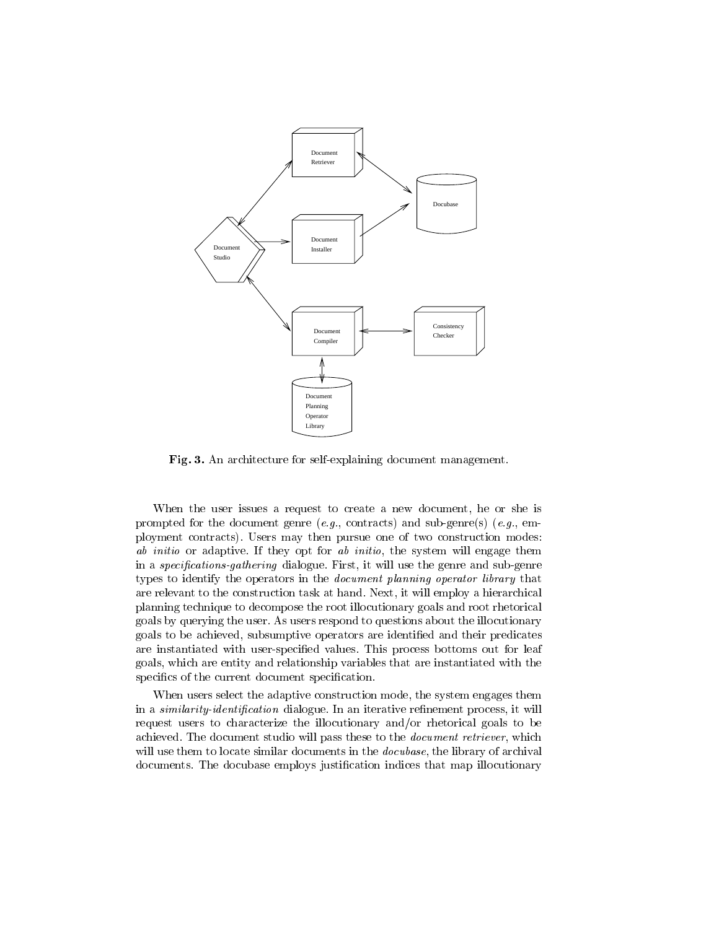

 $\bf r$  ig.  $\bf o$ . An architecture for sen-explaining document management.

When the user issues a request to create a new document, he or she is prompted for the document genre (e.g., contracts) and sub-genre(s) (e.g., employment contracts). Users may then pursue one of two construction modes: ab initio or adaptive. If they opt for ab initio, the system will engage them in a *specifications-gathering* dialogue. First, it will use the genre and sub-genre types to identify the operators in the document planning operator library that are relevant to the construction task at hand. Next, it will employ a hierarchical planning technique to decompose the root illocutionary goals and root rhetorical goals by querying the user As users respond to questions about the illocutionary goals to be achieved, subsumptive operators are identified and their predicates are instantiated with user-specified values. This process bottoms out for leaf goals, which are entity and relationship variables that are instantiated with the specifics of the current document specification.

When users select the adaptive construction mode, the system engages them in a *similarity-identification* dialogue. In an iterative refinement process, it will request users to characterize the illocutionary and/or rhetorical goals to be achieved. The document studio will pass these to the *document retriever*, which will use them to locate similar documents in the *docubase*, the library of archival documents. The docubase employs justification indices that map illocutionary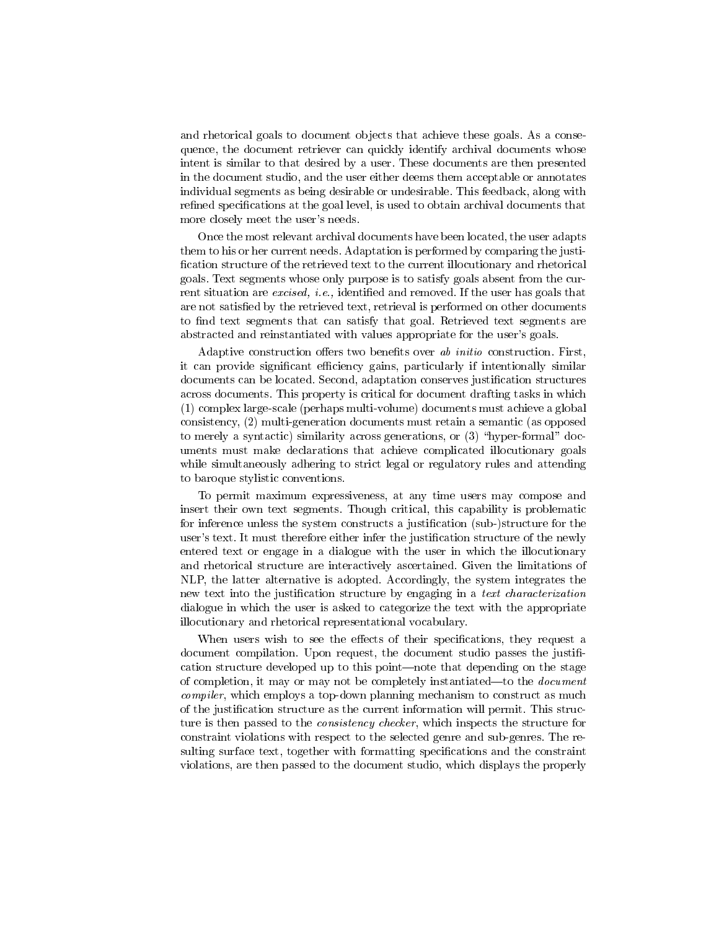and rhetorical goals to document objects that achieve these goals. As a consequence, the document retriever can quickly identify archival documents whose intent is similar to that desired by a user These documents are then presented in the document studio, and the user either deems them acceptable or annotates individual segments as being desirable or undesirable This feedback along with refined specifications at the goal level, is used to obtain archival documents that more closely meet the user's needs.

Once the most relevant archival documents have been located, the user adapts them to his or her current needs Adaptation is performed by comparing the justi fication structure of the retrieved text to the current illocutionary and rhetorical goals Text segments whose only purpose is to satisfy goals absent from the cur rent situation are excised, i.e., identified and removed. If the user has goals that are not satisfied by the retrieved text, retrieval is performed on other documents to find text segments that can satisfy that goal. Retrieved text segments are abstracted and reinstantiated with values appropriate for the user's goals.

Adaptive construction offers two benefits over  $ab$  initio construction. First, it can provide significant efficiency gains, particularly if intentionally similar documents can be located. Second, adaptation conserves justification structures across documents This property is critical for document drafting tasks in which  $(1)$  complex large-scale (perhaps multi-volume) documents must achieve a global consistency multigeneration documents must retain a semantic as opposed to merely a syntactic) similarity across generations, or  $(3)$  "hyper-formal" documents must make declarations that achieve complicated illocutionary goals while simultaneously adhering to strict legal or regulatory rules and attending to baroque stylistic conventions

To permit maximum expressiveness, at any time users may compose and insert their own text segments. Though critical, this capability is problematic for inference unless the system constructs a justification (sub-)structure for the user's text. It must therefore either infer the justification structure of the newly entered text or engage in a dialogue with the user in which the illocutionary and rhetorical structure are interactively ascertained. Given the limitations of NLP, the latter alternative is adopted. Accordingly, the system integrates the new text into the justification structure by engaging in a text characterization dialogue in which the user is asked to categorize the text with the appropriate illocutionary and rhetorical representational vocabulary

When users wish to see the effects of their specifications, they request a document compilation. Upon request, the document studio passes the justification structure developed up to this point—note that depending on the stage of completion, it may or may not be completely instantiated—to the *document*  $compler$ , which employs a top-down planning mechanism to construct as much of the justification structure as the current information will permit. This structure is then passed to the *consistency checker*, which inspects the structure for constraint violations with respect to the selected genre and sub-genres. The resulting surface text, together with formatting specifications and the constraint violations, are then passed to the document studio, which displays the properly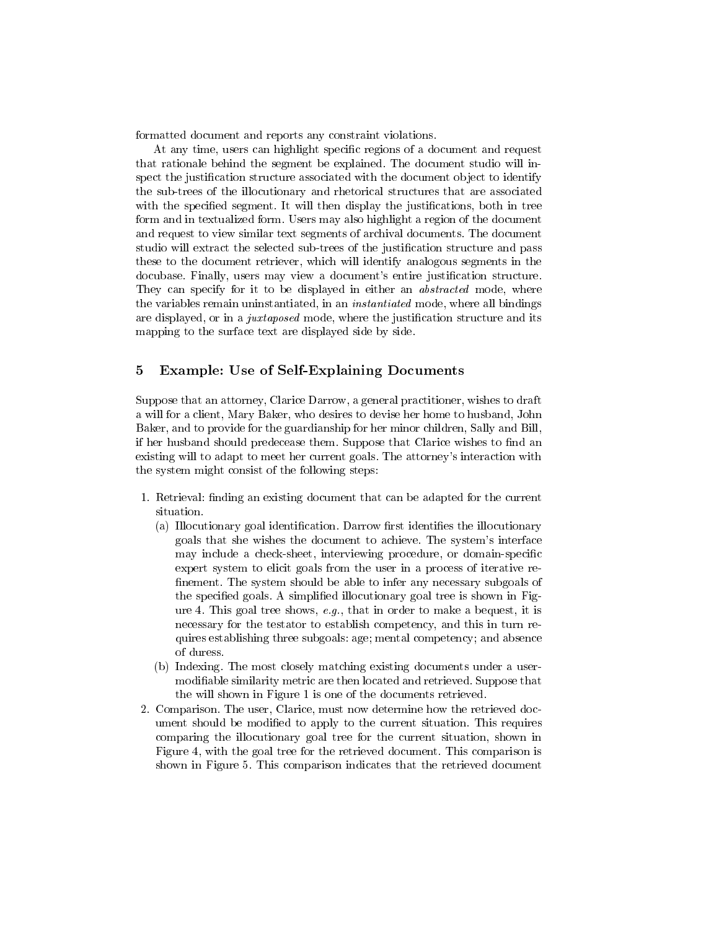formatted document and reports any constraint violations

At any time, users can highlight specific regions of a document and request that rationale behind the segment be explained. The document studio will inspect the justification structure associated with the document object to identify the subtrees of the illocutionary and rhetorical structures that are associated with the specified segment. It will then display the justifications, both in tree form and in textualized form. Users may also highlight a region of the document and request to view similar text segments of archival documents The document studio will extract the selected sub-trees of the justification structure and pass these to the document retriever which will identify analogous segments in the docubase. Finally, users may view a document's entire justification structure. They can specify for it to be displayed in either an *abstracted* mode, where the variables remain uninstantiated, in an *instantiated* mode, where all bindings are displayed, or in a *juxtaposed* mode, where the justification structure and its mapping to the surface text are displayed side by side

## 5 Example Use ofSelf-Explaining Documents

Suppose that an attorney, Clarice Darrow, a general practitioner, wishes to draft a will for a client. Mary Baker, who desires to devise her home to husband, John Baker, and to provide for the guardianship for her minor children, Sally and Bill, if her husband should predecease them. Suppose that Clarice wishes to find an existing will to adapt to meet her current goals. The attorney's interaction with the system might consist of the following steps

- 1. Retrieval: finding an existing document that can be adapted for the current situation
	- (a) Illocutionary goal identification. Darrow first identifies the illocutionary goals that she wishes the document to achieve. The system's interface may include a check-sheet, interviewing procedure, or domain-specific expert system to elicit goals from the user in a process of iterative re finement. The system should be able to infer any necessary subgoals of the specified goals. A simplified illocutionary goal tree is shown in Figure 4. This goal tree shows,  $e.g.,$  that in order to make a bequest, it is necessary for the testator to establish competency and this in turn re quires established three subgoals and absence subgoals are the subgoals and absence the substitution of the substitution of the substitution of the substitution of the substitution of the substitution of the substitution o of duress
	- b Indexing The most closely matching existing documents under a user modifiable similarity metric are then located and retrieved. Suppose that the will shown in Figure 1 is one of the documents retrieved.
- comparison The user Clarice must now determine the user Clarice must now the retrieved documentation of the re ument should be modified to apply to the current situation. This requires comparing the illocutionary goal tree for the current situation, shown in Figure 4, with the goal tree for the retrieved document. This comparison is shown in Figure 5. This comparison indicates that the retrieved document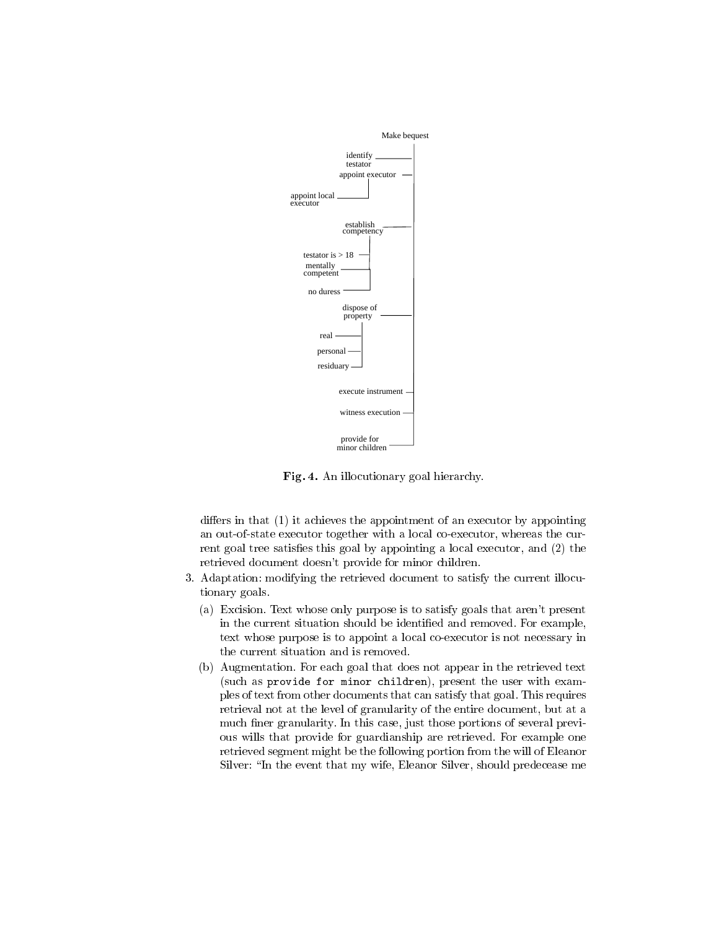

Fig- - An illocutionary goal hierarchy

differs in that  $(1)$  it achieves the appointment of an executor by appointing an out-of-state executor together with a local co-executor, whereas the current goal tree satisfies the goal by appointing a local executive and  $\left( \frac{1}{2} \right)$ retrieved document doesn't provide for minor children.

- 3. Adaptation: modifying the retrieved document to satisfy the current illocutionary goals
	- (a) Excision. Text whose only purpose is to satisfy goals that aren't present in the current situation should be identified and removed. For example, text whose purpose is to appoint a local co-executor is not necessary in the current situation and is removed
	- b Augmentation For each goal that does not appear in the retrieved text (such as provide for minor children), present the user with examples of text from other documents that can satisfy that goal This requires retrieval not at the level of granularity of the entire document, but at a much finer granularity. In this case, just those portions of several previous wills that provide for guardianship are retrieved. For example one retrieved segment might be the following portion from the will of Eleanor Silver: "In the event that my wife, Eleanor Silver, should predecease me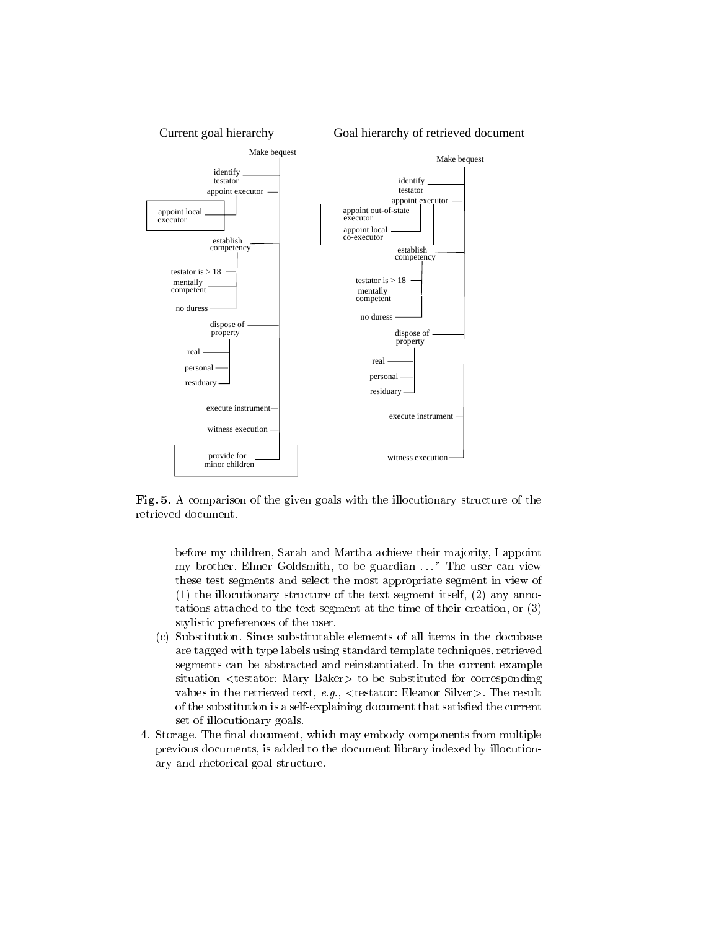

**Fig. J.** A comparison of the given goals with the mocutionary structure of the retrieved document

before my children, Sarah and Martha achieve their majority, I appoint my brother, Elmer Goldsmith, to be guardian ..." The user can view these test segments and select the most appropriate segment in view of the illocutionary structure of the text segment itself any anno tations attached to the text segment at the time of their creation, or (3) stylistic preferences of the user

- c Substitution Since substitutable elements of all items in the docubase are tagged with type labels using standard template techniques, retrieved segments can be abstracted and reinstantiated. In the current example situation <testator: Mary Baker > to be substituted for corresponding values in the retrieved text, e.g.,  $\lt$  testator: Eleanor Silver  $>$ . The result of the substitution is a self-explaining document that satisfied the current set of illocutionary goals
- 4. Storage. The final document, which may embody components from multiple previous documents is added to the document library indexed by illocution ary and rhetorical goal structure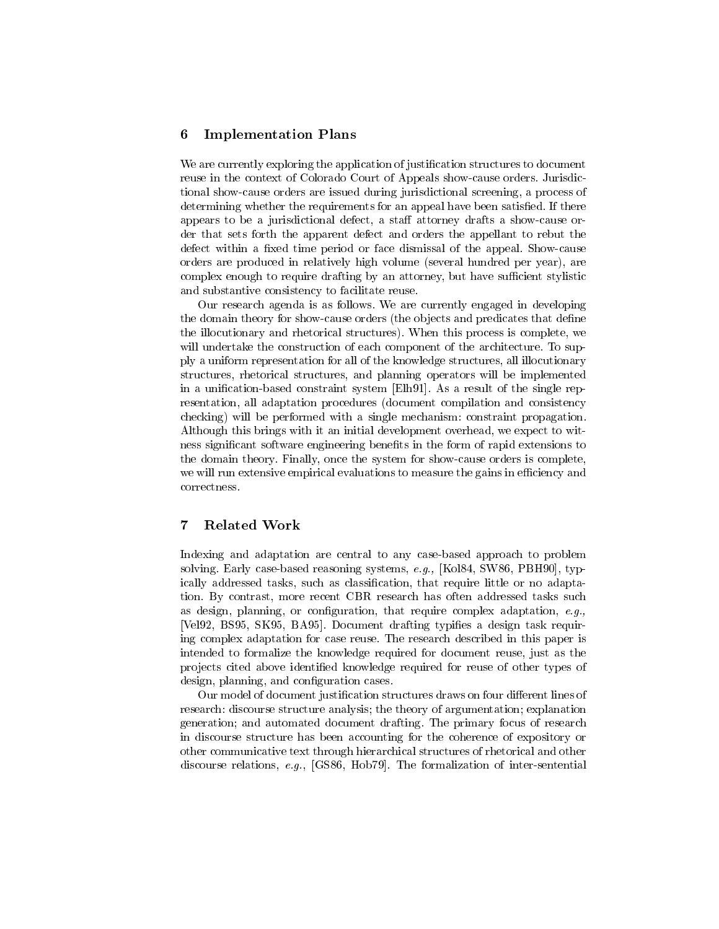## 6 Implementation Plans

We are currently exploring the application of justification structures to document reuse in the context of Colorado Court of Appeals show-cause orders. Jurisdictional show-cause orders are issued during jurisdictional screening, a process of determining whether the requirements for an appeal have been satisfied. If there appears to be a jurisdictional defect, a staff attorney drafts a show-cause order that sets forth the apparent defect and orders the appellant to rebut the defect within a fixed time period or face dismissal of the appeal. Show-cause orders are produced in relatively high volume (several hundred per year), are complex enough to require drafting by an attorney, but have sufficient stylistic and substantive consistency to facilitate reuse

Our research agenda is as follows We are currently engaged in developing the domain theory for show-cause orders (the objects and predicates that define the illocutionary and rhetorical structures). When this process is complete, we will undertake the construction of each component of the architecture. To supply a uniform representation for all of the knowledge structures all illocutionary structures, rhetorical structures, and planning operators will be implemented in a unification-based constraint system [Elh91]. As a result of the single representation all adaptation procedures document compilation and consistency checking will be performed with a single mechanism: constraint propagation. Although this brings with it an initial development overhead, we expect to witness significant software engineering benefits in the form of rapid extensions to the domain theory. Finally, once the system for show-cause orders is complete, we will run extensive empirical evaluations to measure the gains in efficiency and

Indexing and adaptation are central to any casebased approach to problem solving. Early case-based reasoning systems,  $e, q,$ , [Kol84, SW86, PBH90], typically addressed tasks, such as classification, that require little or no adaptation. By contrast, more recent CBR research has often addressed tasks such as design, planning, or configuration, that require complex adaptation,  $e.g.,$ Vel BS SK BA Document drafting typies a design task requir ing complex adaptation for case reuse The research described in this paper is intended to formalize the knowledge required for document reuse just as the projects cited above identified knowledge required for reuse of other types of design, planning, and configuration cases.

Our model of document justification structures draws on four different lines of research discourse structure and the theory of argumentation-course argumentation-completed argumentationgeneration-primary focus of and automated document  $\alpha$  in the primary focus of research  $\alpha$ in discourse structure has been accounting for the coherence of expository or other communicative text through hierarchical structures of rhetorical and other discourse relations, e.g., [GS86, Hob 79]. The formalization of inter-sentential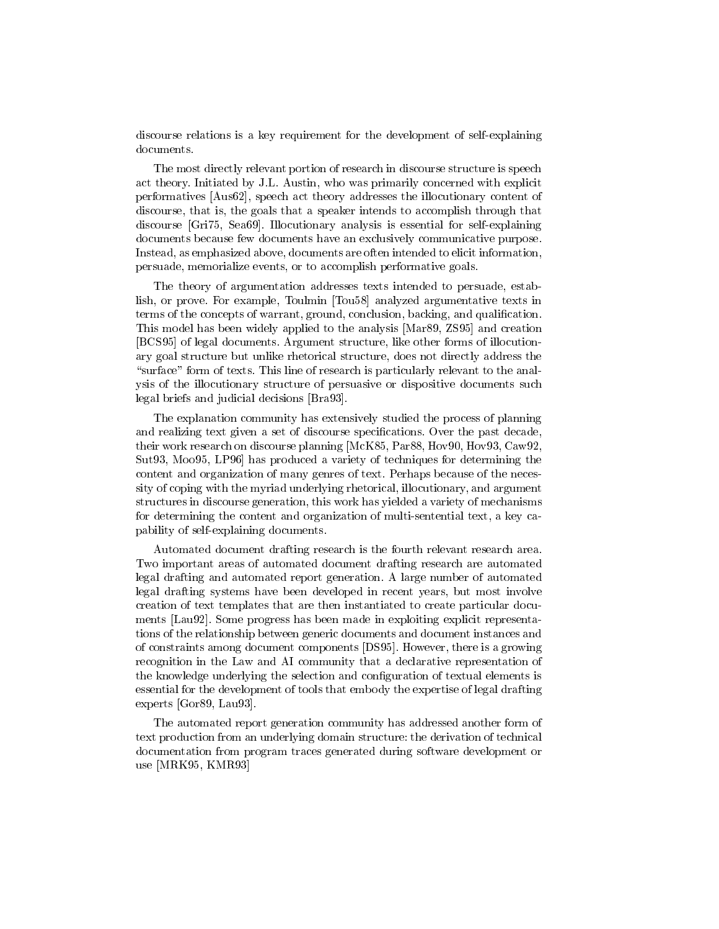discourse relations is a key requirement for the development of selfexplaining documents.

The most directly relevant portion of research in discourse structure is speech act theory Initiated by JL Austin who was primarily concerned with explicit performatives produced a performation content of interesting theory and interesting theory and in discourse, that is, the goals that a speaker intends to accomplish through that discourse [Gri75, Sea69]. Illocutionary analysis is essential for self-explaining documents because few documents have an exclusively communicative purpose Instead, as emphasized above, documents are often intended to elicit information, persuade, memorialize events, or to accomplish performative goals.

The theory of argumentation addresses texts intended to persuade, establish, or prove. For example, Toulmin [Tou58] analyzed argumentative texts in terms of the concepts of warrant, ground, conclusion, backing, and qualification. This model has been widely applied to the analysis [Mar89, ZS95] and creation [BCS95] of legal documents. Argument structure, like other forms of illocutionary goal structure but unlike rhetorical structure, does not directly address the "surface" form of texts. This line of research is particularly relevant to the analysis of the illocutionary structure of persuasive or dispositive documents such legal briefs and judicial decisions [Bra93].

The explanation community has extensively studied the process of planning and realizing text given a set of discourse specifications. Over the past decade, their work research on discourse planning [McK85, Par88, Hov90, Hov93,  $Caw92$ .  $\mathbf{B}$  and  $\mathbf{B}$  are the set of  $\mathbf{B}$ Sut 93, Moo 95, LP 96 has produced a variety of techniques for determining the content and organization of many genres of text Perhaps because of the neces sity of coping with the myriad underlying rhetorical illocutionary and argument structures in discourse generation, this work has yielded a variety of mechanisms for determining the content and organization of multi-sentential text, a key capability of self-explaining documents.

Automated document drafting research is the fourth relevant research area Two important areas of automated document drafting research are automated legal drafting and automated report generation A large number of automated legal drafting systems have been developed in recent years, but most involve creation of text templates that are then instantiated to create particular docu ments Lau Some progress has been made in exploiting explicit representa tions of the relationship between generic documents and document instances and of constraints among document components DS
 However there is a growing recognition in the Law and AI community that a declarative representation of the knowledge underlying the selection and configuration of textual elements is essential for the development of tools that embody the expertise of legal drafting experts [Gor89, Lau93].

The automated report generation community has addressed another form of text production from an underlying domain structure: the derivation of technical documentation from program traces generated during software development or use [MRK95, KMR93]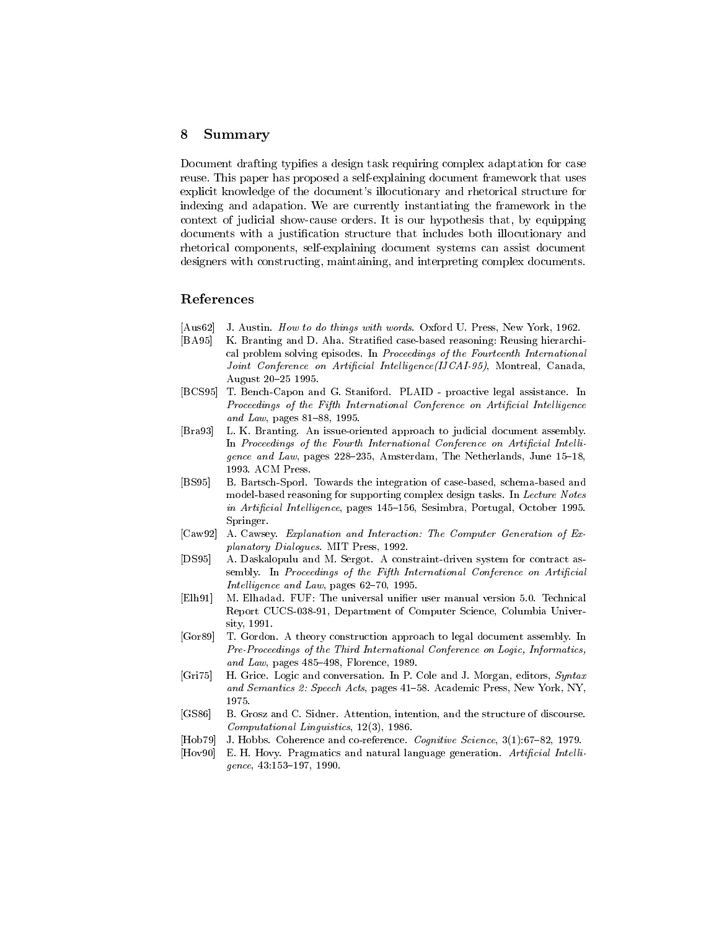# 8 Summary

Document drafting typifies a design task requiring complex adaptation for case reuse. This paper has proposed a self-explaining document framework that uses explicit knowledge of the document's illocutionary and rhetorical structure for indexing and adapation We are currently instantiating the framework in the context of judicial show-cause orders. It is our hypothesis that, by equipping documents with a justification structure that includes both illocutionary and rhetorical components selfexplaining document systems can assist document designers with constructing, maintaining, and interpreting complex documents.

# References

- [Aus62] J. Austin. How to do things with words. Oxford U. Press, New York, 1962.
- [BA95] K. Branting and D. Aha. Stratified case-based reasoning: Reusing hierarchical problem solving episodes. In Proceedings of the Fourteenth International Joint Conference on Articial Intel ligenceIJCAI- Montreal Canada August 20-25 1995.
- [BCS95] T. Bench-Capon and G. Staniford. PLAID proactive legal assistance. In Proceedings of the Fifth International Conference on Artificial Intelligence  $\ldots$   $\ldots$   $\ldots$   $\ldots$   $\ldots$   $\ldots$   $\ldots$   $\ldots$   $\ldots$
- [Bra93] L. K. Branting. An issue-oriented approach to judicial document assembly. In Proceedings of the Fourth International Conference on Artificial Intelligence and Law pages --- It comments and I amsterdam The Netherlands June 1997 1993. ACM Press.
- [BS95] B. Bartsch-Sporl. Towards the integration of case-based, schema-based and model-based reasoning for supporting complex design tasks. In Lecture Notes in Artificial Intelligence, pages 145-156, Sesimbra, Portugal, October 1995. Springer
- [Caw92] A. Cawsey. Explanation and Interaction: The Computer Generation of Explanatory Dialogues. MIT Press, 1992.
- [DS95] A. Daskalopulu and M. Sergot. A constraint-driven system for contract assembly. In Proceedings of the Fifth International Conference on Artificial Intelligence and Law, pages  $62-70$ , 1995.
- [Elh91] M. Elhadad. FUF: The universal unifier user manual version 5.0. Technical Report CUCS- Department of Computer Science Columbia Univer sity, 1991.
- $[Gor89]$ T. Gordon. A theory construction approach to legal document assembly. In Pre-Proceedings of the Third International Conference on Logic Informatics and Law pages - Law pages - Law pages - Law pages - Law pages - Law pages - Law pages - Law pages - Law pages -
- [Gri75] H. Grice. Logic and conversation. In P. Cole and J. Morgan, editors, Syntax and Semantics in Speech Acts; pages 12 fee Acts Semantics Press; 2010 - 2021 - 20 1975.
- $[GS86]$ B. Grosz and C. Sidner. Attention, intention, and the structure of discourse. Computational Linguistics 
 -
- issue is a formula commence when the continuation of an interest of the core  $\alpha$  is a formula
- [Hov90] E. H. Hovy. Pragmatics and natural language generation. Artificial Intelli- $\text{gence}, 43:153-197, 1990.$